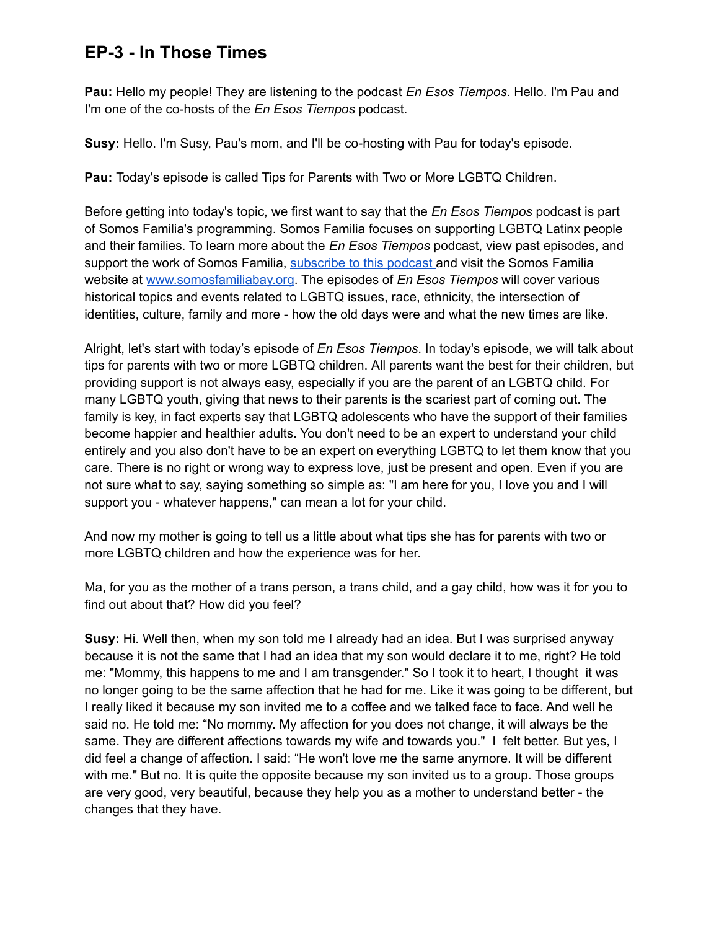**Pau:** Hello my people! They are listening to the podcast *En Esos Tiempos*. Hello. I'm Pau and I'm one of the co-hosts of the *En Esos Tiempos* podcast.

**Susy:** Hello. I'm Susy, Pau's mom, and I'll be co-hosting with Pau for today's episode.

**Pau:** Today's episode is called Tips for Parents with Two or More LGBTQ Children.

Before getting into today's topic, we first want to say that the *En Esos Tiempos* podcast is part of Somos Familia's programming. Somos Familia focuses on supporting LGBTQ Latinx people and their families. To learn more about the *En Esos Tiempos* podcast, view past episodes, and support the work of Somos Familia, [subscribe](https://anchor.fm/s/5437a9d4/podcast/rss) to this podcast and visit the Somos Familia website at [www.somosfamiliabay.org.](http://www.somosfamiliabay.org) The episodes of *En Esos Tiempos* will cover various historical topics and events related to LGBTQ issues, race, ethnicity, the intersection of identities, culture, family and more - how the old days were and what the new times are like.

Alright, let's start with today's episode of *En Esos Tiempos*. In today's episode, we will talk about tips for parents with two or more LGBTQ children. All parents want the best for their children, but providing support is not always easy, especially if you are the parent of an LGBTQ child. For many LGBTQ youth, giving that news to their parents is the scariest part of coming out. The family is key, in fact experts say that LGBTQ adolescents who have the support of their families become happier and healthier adults. You don't need to be an expert to understand your child entirely and you also don't have to be an expert on everything LGBTQ to let them know that you care. There is no right or wrong way to express love, just be present and open. Even if you are not sure what to say, saying something so simple as: "I am here for you, I love you and I will support you - whatever happens," can mean a lot for your child.

And now my mother is going to tell us a little about what tips she has for parents with two or more LGBTQ children and how the experience was for her.

Ma, for you as the mother of a trans person, a trans child, and a gay child, how was it for you to find out about that? How did you feel?

**Susy:** Hi. Well then, when my son told me I already had an idea. But I was surprised anyway because it is not the same that I had an idea that my son would declare it to me, right? He told me: "Mommy, this happens to me and I am transgender." So I took it to heart, I thought it was no longer going to be the same affection that he had for me. Like it was going to be different, but I really liked it because my son invited me to a coffee and we talked face to face. And well he said no. He told me: "No mommy. My affection for you does not change, it will always be the same. They are different affections towards my wife and towards you." I felt better. But yes, I did feel a change of affection. I said: "He won't love me the same anymore. It will be different with me." But no. It is quite the opposite because my son invited us to a group. Those groups are very good, very beautiful, because they help you as a mother to understand better - the changes that they have.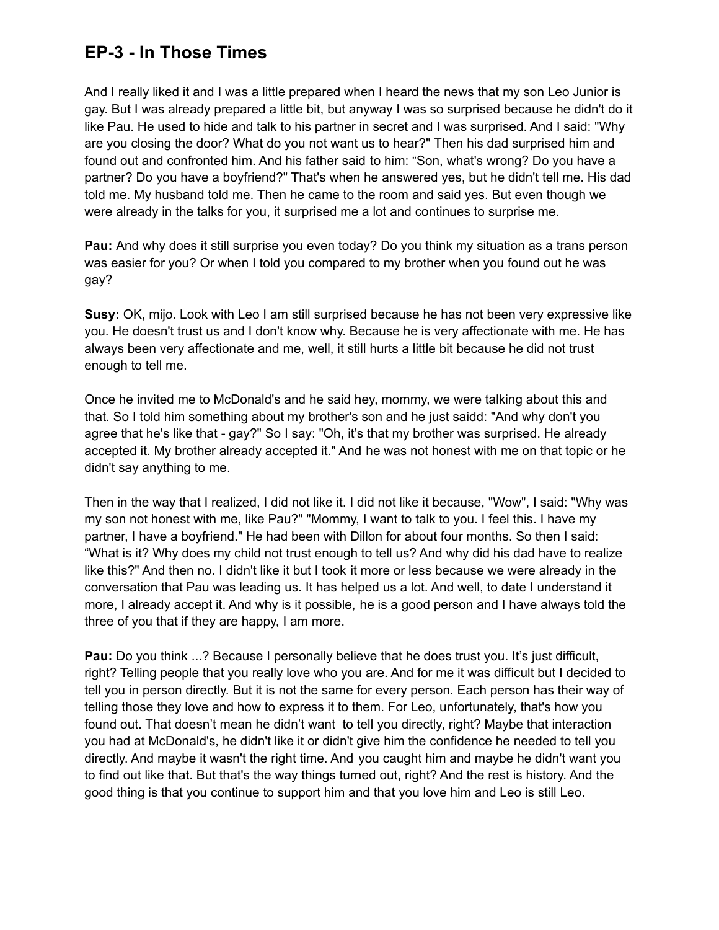And I really liked it and I was a little prepared when I heard the news that my son Leo Junior is gay. But I was already prepared a little bit, but anyway I was so surprised because he didn't do it like Pau. He used to hide and talk to his partner in secret and I was surprised. And I said: "Why are you closing the door? What do you not want us to hear?" Then his dad surprised him and found out and confronted him. And his father said to him: "Son, what's wrong? Do you have a partner? Do you have a boyfriend?" That's when he answered yes, but he didn't tell me. His dad told me. My husband told me. Then he came to the room and said yes. But even though we were already in the talks for you, it surprised me a lot and continues to surprise me.

**Pau:** And why does it still surprise you even today? Do you think my situation as a trans person was easier for you? Or when I told you compared to my brother when you found out he was gay?

**Susy:** OK, mijo. Look with Leo I am still surprised because he has not been very expressive like you. He doesn't trust us and I don't know why. Because he is very affectionate with me. He has always been very affectionate and me, well, it still hurts a little bit because he did not trust enough to tell me.

Once he invited me to McDonald's and he said hey, mommy, we were talking about this and that. So I told him something about my brother's son and he just saidd: "And why don't you agree that he's like that - gay?" So I say: "Oh, it's that my brother was surprised. He already accepted it. My brother already accepted it." And he was not honest with me on that topic or he didn't say anything to me.

Then in the way that I realized, I did not like it. I did not like it because, "Wow", I said: "Why was my son not honest with me, like Pau?" "Mommy, I want to talk to you. I feel this. I have my partner, I have a boyfriend." He had been with Dillon for about four months. So then I said: "What is it? Why does my child not trust enough to tell us? And why did his dad have to realize like this?" And then no. I didn't like it but I took it more or less because we were already in the conversation that Pau was leading us. It has helped us a lot. And well, to date I understand it more, I already accept it. And why is it possible, he is a good person and I have always told the three of you that if they are happy, I am more.

**Pau:** Do you think ...? Because I personally believe that he does trust you. It's just difficult, right? Telling people that you really love who you are. And for me it was difficult but I decided to tell you in person directly. But it is not the same for every person. Each person has their way of telling those they love and how to express it to them. For Leo, unfortunately, that's how you found out. That doesn't mean he didn't want to tell you directly, right? Maybe that interaction you had at McDonald's, he didn't like it or didn't give him the confidence he needed to tell you directly. And maybe it wasn't the right time. And you caught him and maybe he didn't want you to find out like that. But that's the way things turned out, right? And the rest is history. And the good thing is that you continue to support him and that you love him and Leo is still Leo.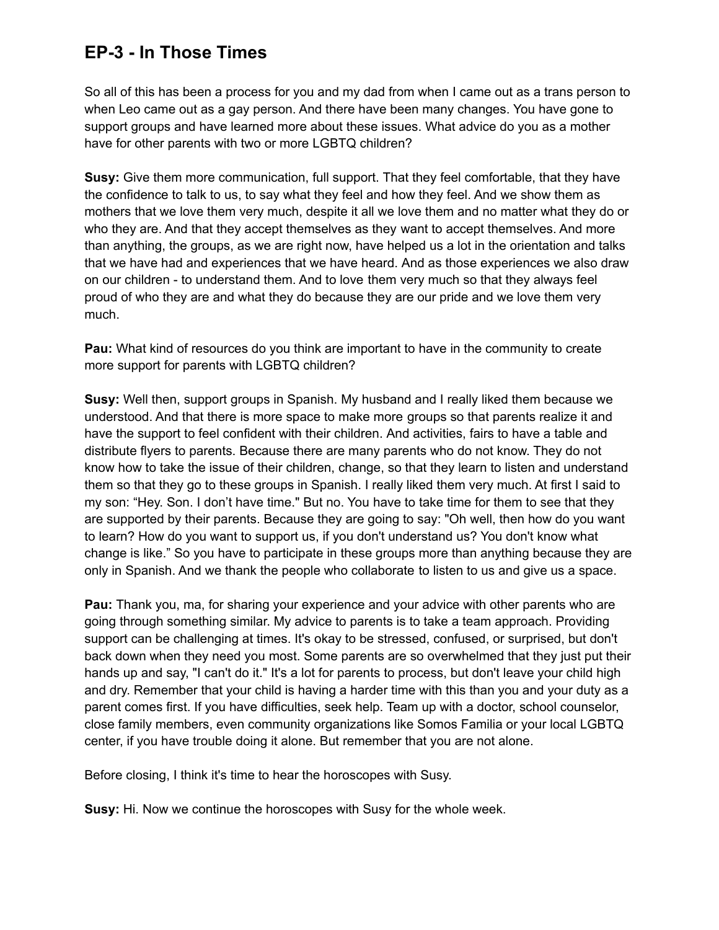So all of this has been a process for you and my dad from when I came out as a trans person to when Leo came out as a gay person. And there have been many changes. You have gone to support groups and have learned more about these issues. What advice do you as a mother have for other parents with two or more LGBTQ children?

**Susy:** Give them more communication, full support. That they feel comfortable, that they have the confidence to talk to us, to say what they feel and how they feel. And we show them as mothers that we love them very much, despite it all we love them and no matter what they do or who they are. And that they accept themselves as they want to accept themselves. And more than anything, the groups, as we are right now, have helped us a lot in the orientation and talks that we have had and experiences that we have heard. And as those experiences we also draw on our children - to understand them. And to love them very much so that they always feel proud of who they are and what they do because they are our pride and we love them very much.

**Pau:** What kind of resources do you think are important to have in the community to create more support for parents with LGBTQ children?

**Susy:** Well then, support groups in Spanish. My husband and I really liked them because we understood. And that there is more space to make more groups so that parents realize it and have the support to feel confident with their children. And activities, fairs to have a table and distribute flyers to parents. Because there are many parents who do not know. They do not know how to take the issue of their children, change, so that they learn to listen and understand them so that they go to these groups in Spanish. I really liked them very much. At first I said to my son: "Hey. Son. I don't have time." But no. You have to take time for them to see that they are supported by their parents. Because they are going to say: "Oh well, then how do you want to learn? How do you want to support us, if you don't understand us? You don't know what change is like." So you have to participate in these groups more than anything because they are only in Spanish. And we thank the people who collaborate to listen to us and give us a space.

**Pau:** Thank you, ma, for sharing your experience and your advice with other parents who are going through something similar. My advice to parents is to take a team approach. Providing support can be challenging at times. It's okay to be stressed, confused, or surprised, but don't back down when they need you most. Some parents are so overwhelmed that they just put their hands up and say, "I can't do it." It's a lot for parents to process, but don't leave your child high and dry. Remember that your child is having a harder time with this than you and your duty as a parent comes first. If you have difficulties, seek help. Team up with a doctor, school counselor, close family members, even community organizations like Somos Familia or your local LGBTQ center, if you have trouble doing it alone. But remember that you are not alone.

Before closing, I think it's time to hear the horoscopes with Susy.

**Susy:** Hi. Now we continue the horoscopes with Susy for the whole week.